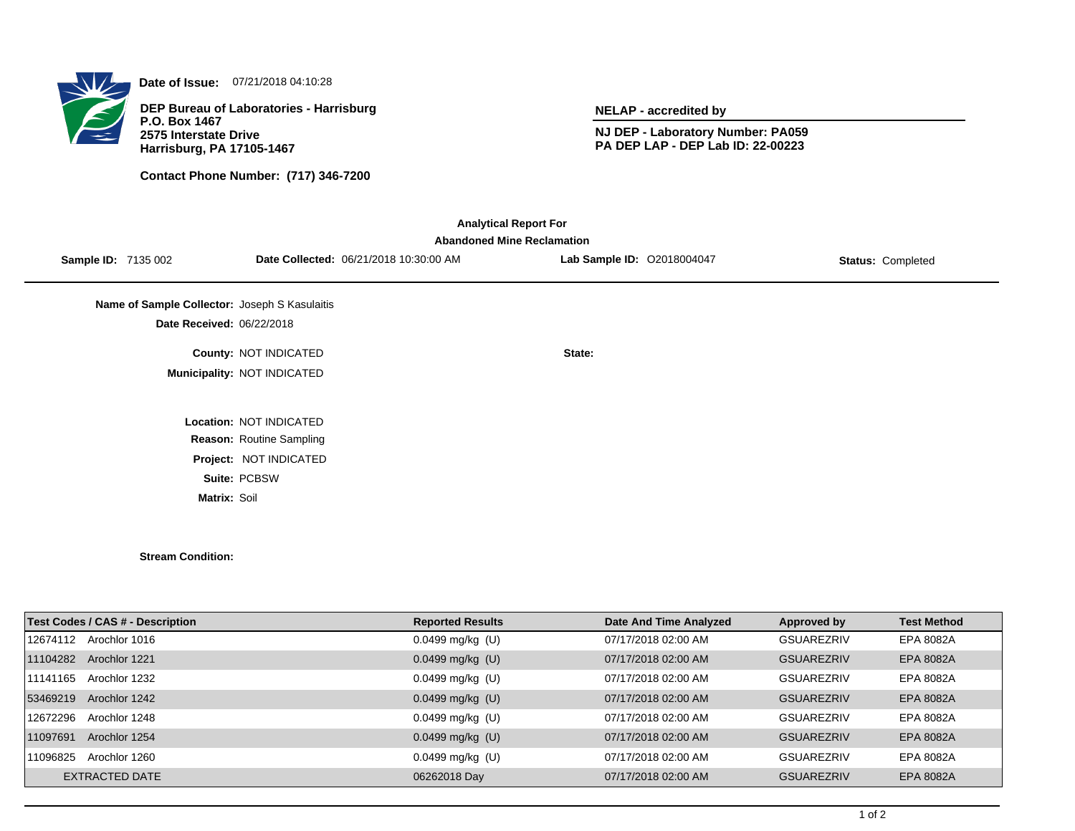

**Date of Issue:** 07/21/2018 04:10:28

**DEP Bureau of Laboratories - Harrisburg P.O. Box 1467 2575 Interstate Drive Harrisburg, PA 17105-1467**

**Contact Phone Number: (717) 346-7200**

**NELAP - accredited by**

**NJ DEP - Laboratory Number: PA059 PA DEP LAP - DEP Lab ID: 22-00223**

| <b>Abandoned Mine Reclamation</b>             |                                        |                            |                          |  |  |  |  |  |
|-----------------------------------------------|----------------------------------------|----------------------------|--------------------------|--|--|--|--|--|
| <b>Sample ID: 7135 002</b>                    | Date Collected: 06/21/2018 10:30:00 AM | Lab Sample ID: 02018004047 | <b>Status: Completed</b> |  |  |  |  |  |
|                                               |                                        |                            |                          |  |  |  |  |  |
| Name of Sample Collector: Joseph S Kasulaitis |                                        |                            |                          |  |  |  |  |  |
| Date Received: 06/22/2018                     |                                        |                            |                          |  |  |  |  |  |
|                                               | County: NOT INDICATED                  | State:                     |                          |  |  |  |  |  |
|                                               | Municipality: NOT INDICATED            |                            |                          |  |  |  |  |  |
|                                               |                                        |                            |                          |  |  |  |  |  |
|                                               | Location: NOT INDICATED                |                            |                          |  |  |  |  |  |
|                                               | Reason: Routine Sampling               |                            |                          |  |  |  |  |  |
|                                               | Project: NOT INDICATED                 |                            |                          |  |  |  |  |  |
|                                               | Suite: PCBSW                           |                            |                          |  |  |  |  |  |
| Matrix: Soil                                  |                                        |                            |                          |  |  |  |  |  |

**Stream Condition:**

| <b>Test Codes / CAS # - Description</b> | <b>Reported Results</b> | Date And Time Analyzed | Approved by       | <b>Test Method</b> |
|-----------------------------------------|-------------------------|------------------------|-------------------|--------------------|
| Arochlor 1016<br>12674112               | $0.0499$ mg/kg (U)      | 07/17/2018 02:00 AM    | GSUAREZRIV        | EPA 8082A          |
| 11104282<br>Arochlor 1221               | $0.0499$ mg/kg (U)      | 07/17/2018 02:00 AM    | <b>GSUAREZRIV</b> | EPA 8082A          |
| 11141165<br>Arochlor 1232               | $0.0499$ mg/kg (U)      | 07/17/2018 02:00 AM    | GSUAREZRIV        | EPA 8082A          |
| 53469219<br>Arochlor 1242               | $0.0499$ mg/kg (U)      | 07/17/2018 02:00 AM    | <b>GSUAREZRIV</b> | <b>EPA 8082A</b>   |
| Arochlor 1248<br>12672296               | $0.0499$ mg/kg (U)      | 07/17/2018 02:00 AM    | GSUAREZRIV        | EPA 8082A          |
| 11097691<br>Arochlor 1254               | $0.0499$ mg/kg (U)      | 07/17/2018 02:00 AM    | <b>GSUAREZRIV</b> | <b>EPA 8082A</b>   |
| 11096825<br>Arochlor 1260               | $0.0499$ mg/kg (U)      | 07/17/2018 02:00 AM    | GSUAREZRIV        | EPA 8082A          |
| EXTRACTED DATE                          | 06262018 Day            | 07/17/2018 02:00 AM    | <b>GSUAREZRIV</b> | <b>EPA 8082A</b>   |